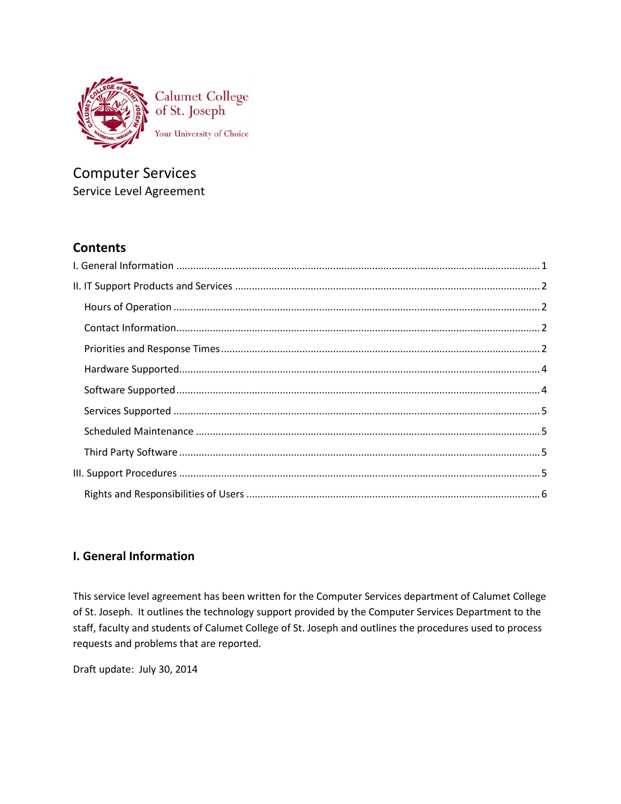

# **Computer Services** Service Level Agreement

# **Contents**

# <span id="page-0-0"></span>**I. General Information**

This service level agreement has been written for the Computer Services department of Calumet College of St. Joseph. It outlines the technology support provided by the Computer Services Department to the staff, faculty and students of Calumet College of St. Joseph and outlines the procedures used to process requests and problems that are reported.

Draft update: July 30, 2014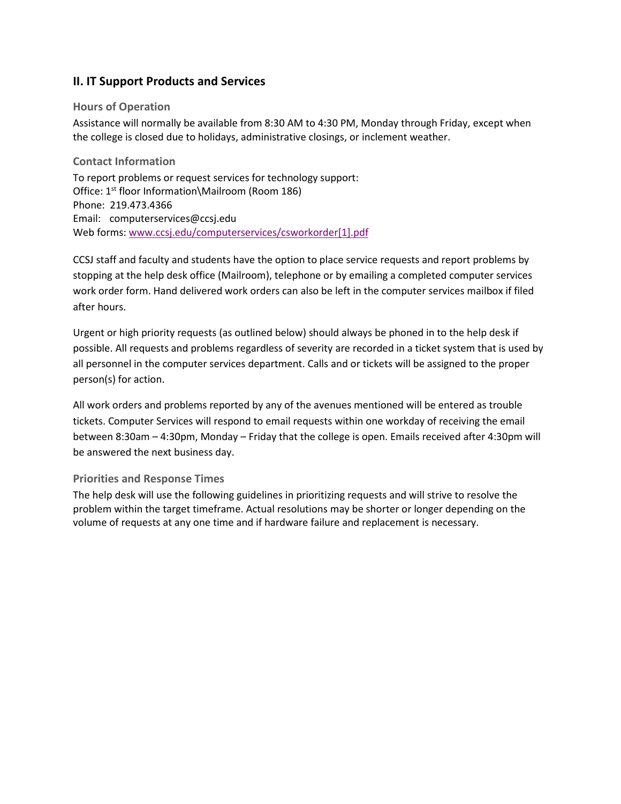# <span id="page-1-0"></span>**II. IT Support Products and Services**

# <span id="page-1-1"></span>**Hours of Operation**

Assistance will normally be available from 8:30 AM to 4:30 PM, Monday through Friday, except when the college is closed due to holidays, administrative closings, or inclement weather.

# <span id="page-1-2"></span>**Contact Information**

To report problems or request services for technology support: Office: 1<sup>st</sup> floor Information\Mailroom (Room 186) Phone: 219.473.4366 Email: computerservices@ccsj.edu Web forms: [www.ccsj.edu/computerservices/csworkorder\[1\].pdf](http://www.ccsj.edu/computerservices/csworkorder%5b1%5d.pdf)

CCSJ staff and faculty and students have the option to place service requests and report problems by stopping at the help desk office (Mailroom), telephone or by emailing a completed computer services work order form. Hand delivered work orders can also be left in the computer services mailbox if filed after hours.

Urgent or high priority requests (as outlined below) should always be phoned in to the help desk if possible. All requests and problems regardless of severity are recorded in a ticket system that is used by all personnel in the computer services department. Calls and or tickets will be assigned to the proper person(s) for action.

All work orders and problems reported by any of the avenues mentioned will be entered as trouble tickets. Computer Services will respond to email requests within one workday of receiving the email between 8:30am – 4:30pm, Monday – Friday that the college is open. Emails received after 4:30pm will be answered the next business day.

## <span id="page-1-3"></span>**Priorities and Response Times**

The help desk will use the following guidelines in prioritizing requests and will strive to resolve the problem within the target timeframe. Actual resolutions may be shorter or longer depending on the volume of requests at any one time and if hardware failure and replacement is necessary.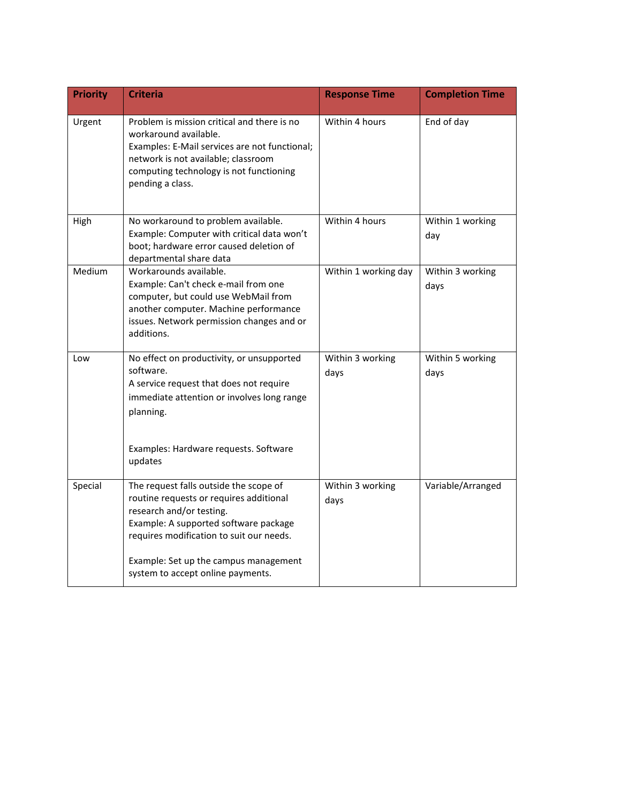| <b>Priority</b> | <b>Criteria</b>                                                                                                                                                                                                                                                                  | <b>Response Time</b>     | <b>Completion Time</b>   |
|-----------------|----------------------------------------------------------------------------------------------------------------------------------------------------------------------------------------------------------------------------------------------------------------------------------|--------------------------|--------------------------|
| Urgent          | Problem is mission critical and there is no<br>workaround available.<br>Examples: E-Mail services are not functional;<br>network is not available; classroom<br>computing technology is not functioning<br>pending a class.                                                      | Within 4 hours           | End of day               |
| High            | No workaround to problem available.<br>Example: Computer with critical data won't<br>boot; hardware error caused deletion of<br>departmental share data                                                                                                                          | Within 4 hours           | Within 1 working<br>day  |
| Medium          | Workarounds available.<br>Example: Can't check e-mail from one<br>computer, but could use WebMail from<br>another computer. Machine performance<br>issues. Network permission changes and or<br>additions.                                                                       | Within 1 working day     | Within 3 working<br>days |
| Low             | No effect on productivity, or unsupported<br>software.<br>A service request that does not require<br>immediate attention or involves long range<br>planning.<br>Examples: Hardware requests. Software<br>updates                                                                 | Within 3 working<br>days | Within 5 working<br>days |
| Special         | The request falls outside the scope of<br>routine requests or requires additional<br>research and/or testing.<br>Example: A supported software package<br>requires modification to suit our needs.<br>Example: Set up the campus management<br>system to accept online payments. | Within 3 working<br>days | Variable/Arranged        |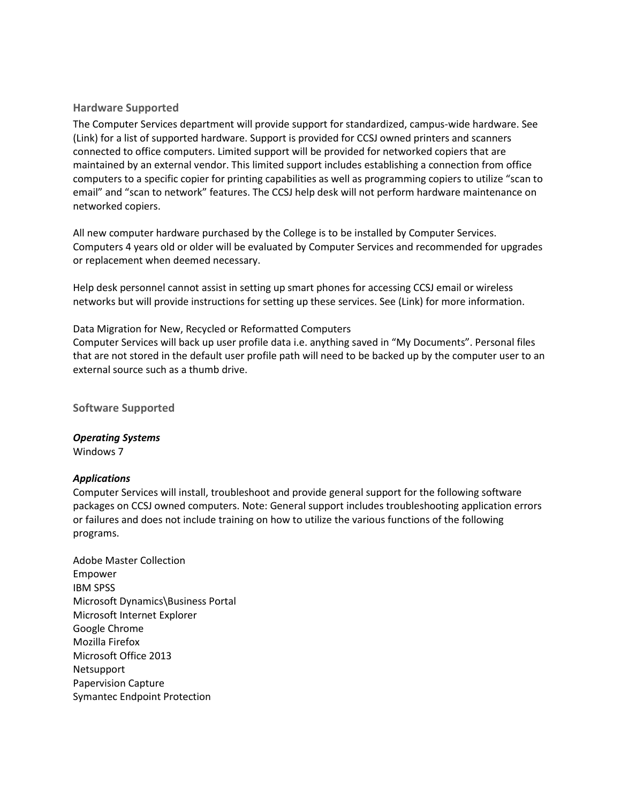## <span id="page-3-0"></span>**Hardware Supported**

The Computer Services department will provide support for standardized, campus-wide hardware. See (Link) for a list of supported hardware. Support is provided for CCSJ owned printers and scanners connected to office computers. Limited support will be provided for networked copiers that are maintained by an external vendor. This limited support includes establishing a connection from office computers to a specific copier for printing capabilities as well as programming copiers to utilize "scan to email" and "scan to network" features. The CCSJ help desk will not perform hardware maintenance on networked copiers.

All new computer hardware purchased by the College is to be installed by Computer Services. Computers 4 years old or older will be evaluated by Computer Services and recommended for upgrades or replacement when deemed necessary.

Help desk personnel cannot assist in setting up smart phones for accessing CCSJ email or wireless networks but will provide instructions for setting up these services. See (Link) for more information.

#### Data Migration for New, Recycled or Reformatted Computers

Computer Services will back up user profile data i.e. anything saved in "My Documents". Personal files that are not stored in the default user profile path will need to be backed up by the computer user to an external source such as a thumb drive.

<span id="page-3-1"></span>**Software Supported**

# *Operating Systems*

Windows 7

## *Applications*

Computer Services will install, troubleshoot and provide general support for the following software packages on CCSJ owned computers. Note: General support includes troubleshooting application errors or failures and does not include training on how to utilize the various functions of the following programs.

Adobe Master Collection Empower IBM SPSS Microsoft Dynamics\Business Portal Microsoft Internet Explorer Google Chrome Mozilla Firefox Microsoft Office 2013 Netsupport Papervision Capture Symantec Endpoint Protection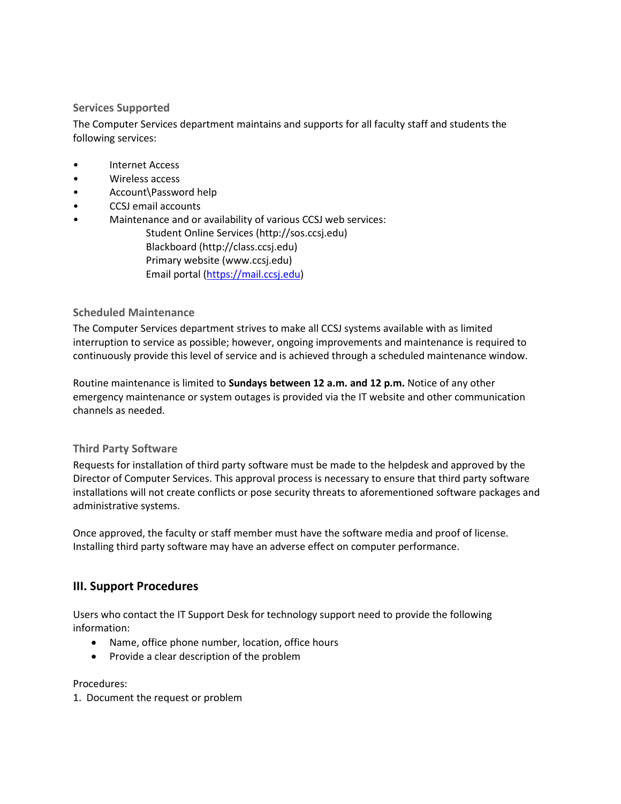# <span id="page-4-0"></span>**Services Supported**

The Computer Services department maintains and supports for all faculty staff and students the following services:

- Internet Access
- Wireless access
- Account\Password help
- CCSJ email accounts
- Maintenance and or availability of various CCSJ web services:
	- Student Online Services (http://sos.ccsj.edu) Blackboard (http://class.ccsj.edu) Primary website (www.ccsj.edu) Email portal [\(https://mail.ccsj.edu\)](https://mail.ccsj.edu/)

## <span id="page-4-1"></span>**Scheduled Maintenance**

The Computer Services department strives to make all CCSJ systems available with as limited interruption to service as possible; however, ongoing improvements and maintenance is required to continuously provide this level of service and is achieved through a scheduled maintenance window.

Routine maintenance is limited to **Sundays between 12 a.m. and 12 p.m.** Notice of any other emergency maintenance or system outages is provided via the IT website and other communication channels as needed.

## <span id="page-4-2"></span>**Third Party Software**

Requests for installation of third party software must be made to the helpdesk and approved by the Director of Computer Services. This approval process is necessary to ensure that third party software installations will not create conflicts or pose security threats to aforementioned software packages and administrative systems.

<span id="page-4-3"></span>Once approved, the faculty or staff member must have the software media and proof of license. Installing third party software may have an adverse effect on computer performance.

# **III. Support Procedures**

Users who contact the IT Support Desk for technology support need to provide the following information:

- Name, office phone number, location, office hours
- Provide a clear description of the problem

Procedures:

1. Document the request or problem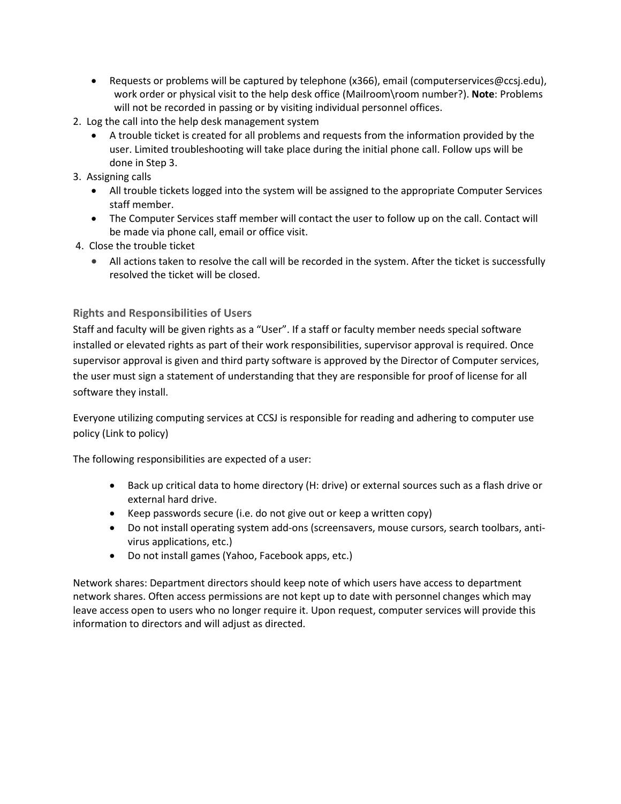- Requests or problems will be captured by telephone (x366), email (computerservices@ccsj.edu), work order or physical visit to the help desk office (Mailroom\room number?). **Note**: Problems will not be recorded in passing or by visiting individual personnel offices.
- 2. Log the call into the help desk management system
	- A trouble ticket is created for all problems and requests from the information provided by the user. Limited troubleshooting will take place during the initial phone call. Follow ups will be done in Step 3.
- 3. Assigning calls
	- All trouble tickets logged into the system will be assigned to the appropriate Computer Services staff member.
	- The Computer Services staff member will contact the user to follow up on the call. Contact will be made via phone call, email or office visit.
- 4. Close the trouble ticket
	- All actions taken to resolve the call will be recorded in the system. After the ticket is successfully resolved the ticket will be closed.

# <span id="page-5-0"></span>**Rights and Responsibilities of Users**

Staff and faculty will be given rights as a "User". If a staff or faculty member needs special software installed or elevated rights as part of their work responsibilities, supervisor approval is required. Once supervisor approval is given and third party software is approved by the Director of Computer services, the user must sign a statement of understanding that they are responsible for proof of license for all software they install.

Everyone utilizing computing services at CCSJ is responsible for reading and adhering to computer use policy (Link to policy)

The following responsibilities are expected of a user:

- Back up critical data to home directory (H: drive) or external sources such as a flash drive or external hard drive.
- Keep passwords secure (i.e. do not give out or keep a written copy)
- Do not install operating system add-ons (screensavers, mouse cursors, search toolbars, antivirus applications, etc.)
- Do not install games (Yahoo, Facebook apps, etc.)

Network shares: Department directors should keep note of which users have access to department network shares. Often access permissions are not kept up to date with personnel changes which may leave access open to users who no longer require it. Upon request, computer services will provide this information to directors and will adjust as directed.